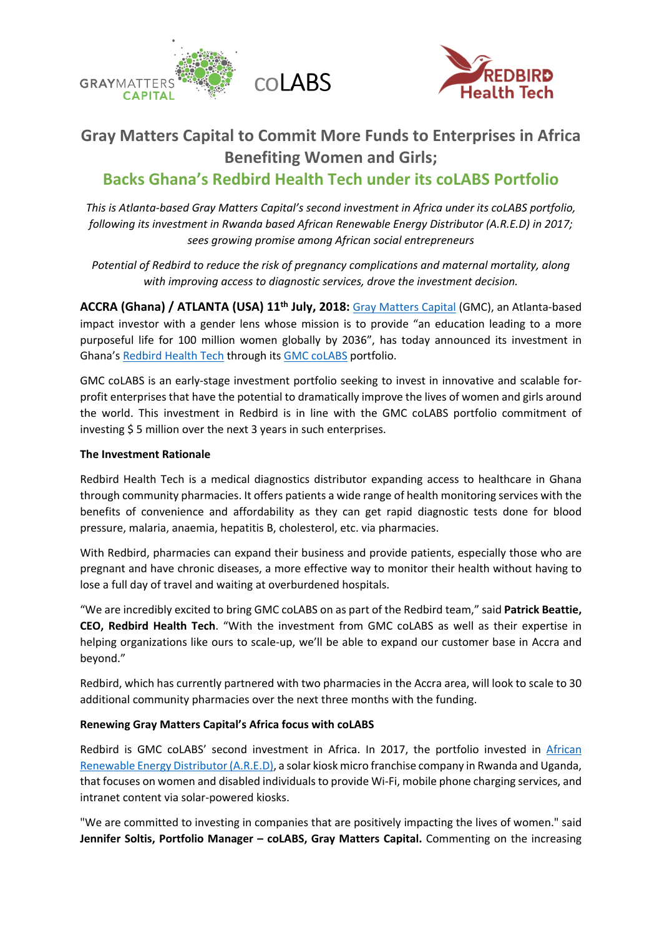



# **Gray Matters Capital to Commit More Funds to Enterprises in Africa Benefiting Women and Girls;**

## **Backs Ghana's Redbird Health Tech under its coLABS Portfolio**

*This is Atlanta-based Gray Matters Capital's second investment in Africa under its coLABS portfolio, following its investment in Rwanda based African Renewable Energy Distributor (A.R.E.D) in 2017; sees growing promise among African social entrepreneurs*

*Potential of Redbird to reduce the risk of pregnancy complications and maternal mortality, along with improving access to diagnostic services, drove the investment decision.*

**ACCRA (Ghana) / ATLANTA (USA) 11th July, 2018:** [Gray Matters Capital](http://graymatterscap.com/) (GMC), an Atlanta-based impact investor with a gender lens whose mission is to provide "an education leading to a more purposeful life for 100 million women globally by 2036", has today announced its investment in Ghana's [Redbird Health Tech](https://www.redbirdht.com/) through its [GMC coLABS](https://gmccolabs.com/) portfolio.

GMC coLABS is an early-stage investment portfolio seeking to invest in innovative and scalable forprofit enterprises that have the potential to dramatically improve the lives of women and girls around the world. This investment in Redbird is in line with the GMC coLABS portfolio commitment of investing \$ 5 million over the next 3 years in such enterprises.

#### **The Investment Rationale**

Redbird Health Tech is a medical diagnostics distributor expanding access to healthcare in Ghana through community pharmacies. It offers patients a wide range of health monitoring services with the benefits of convenience and affordability as they can get rapid diagnostic tests done for blood pressure, malaria, anaemia, hepatitis B, cholesterol, etc. via pharmacies.

With Redbird, pharmacies can expand their business and provide patients, especially those who are pregnant and have chronic diseases, a more effective way to monitor their health without having to lose a full day of travel and waiting at overburdened hospitals.

"We are incredibly excited to bring GMC coLABS on as part of the Redbird team," said **Patrick Beattie, CEO, Redbird Health Tech**. "With the investment from GMC coLABS as well as their expertise in helping organizations like ours to scale-up, we'll be able to expand our customer base in Accra and beyond."

Redbird, which has currently partnered with two pharmacies in the Accra area, will look to scale to 30 additional community pharmacies over the next three months with the funding.

#### **Renewing Gray Matters Capital's Africa focus with coLABS**

Redbird is GMC coLABS' second investment in Africa. In 2017, the portfolio invested in [African](http://www.a-r-e-d.com/about-ared/)  [Renewable Energy Distributor \(A.R.E.D\),](http://www.a-r-e-d.com/about-ared/) a solar kiosk micro franchise company in Rwanda and Uganda, that focuses on women and disabled individuals to provide Wi-Fi, mobile phone charging services, and intranet content via solar-powered kiosks.

"We are committed to investing in companies that are positively impacting the lives of women." said **Jennifer Soltis, Portfolio Manager – coLABS, Gray Matters Capital.** Commenting on the increasing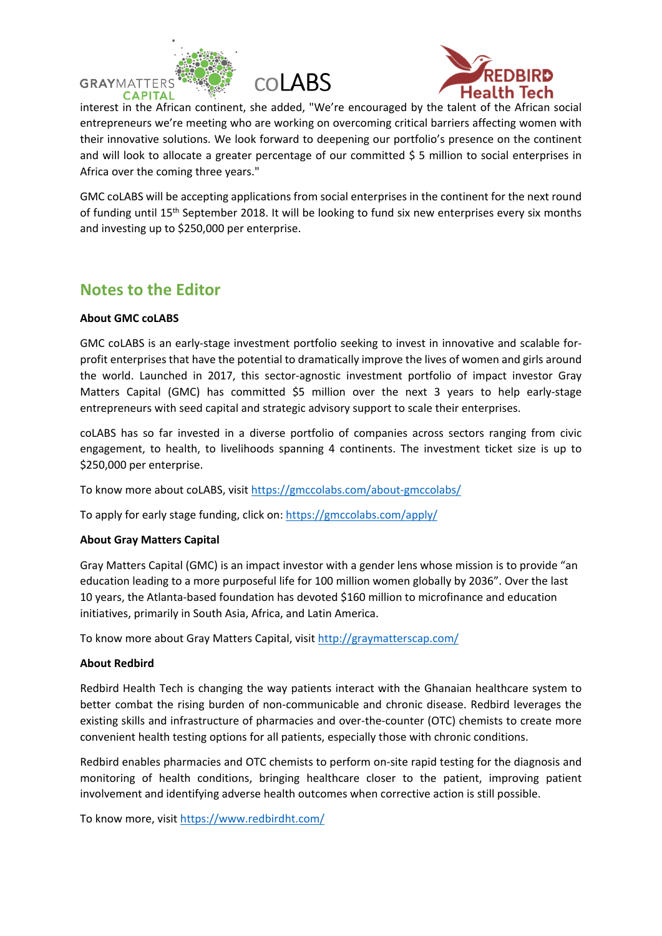





interest in the African continent, she added, "We're encouraged by the talent of the African social entrepreneurs we're meeting who are working on overcoming critical barriers affecting women with their innovative solutions. We look forward to deepening our portfolio's presence on the continent and will look to allocate a greater percentage of our committed \$ 5 million to social enterprises in Africa over the coming three years."

GMC coLABS will be accepting applications from social enterprises in the continent for the next round of funding until 15<sup>th</sup> September 2018. It will be looking to fund six new enterprises every six months and investing up to \$250,000 per enterprise.

### **Notes to the Editor**

#### **About GMC coLABS**

GMC coLABS is an early-stage investment portfolio seeking to invest in innovative and scalable forprofit enterprises that have the potential to dramatically improve the lives of women and girls around the world. Launched in 2017, this sector-agnostic investment portfolio of impact investor Gray Matters Capital (GMC) has committed \$5 million over the next 3 years to help early-stage entrepreneurs with seed capital and strategic advisory support to scale their enterprises.

coLABS has so far invested in a diverse portfolio of companies across sectors ranging from civic engagement, to health, to livelihoods spanning 4 continents. The investment ticket size is up to \$250,000 per enterprise.

To know more about coLABS, visit https://gmccolabs.com/about-gmccolabs/

To apply for early stage funding, click on:<https://gmccolabs.com/apply/>

#### **About Gray Matters Capital**

Gray Matters Capital (GMC) is an impact investor with a gender lens whose mission is to provide "an education leading to a more purposeful life for 100 million women globally by 2036". Over the last 10 years, the Atlanta-based foundation has devoted \$160 million to microfinance and education initiatives, primarily in South Asia, Africa, and Latin America.

To know more about Gray Matters Capital, visit<http://graymatterscap.com/>

#### **About Redbird**

Redbird Health Tech is changing the way patients interact with the Ghanaian healthcare system to better combat the rising burden of non-communicable and chronic disease. Redbird leverages the existing skills and infrastructure of pharmacies and over-the-counter (OTC) chemists to create more convenient health testing options for all patients, especially those with chronic conditions.

Redbird enables pharmacies and OTC chemists to perform on-site rapid testing for the diagnosis and monitoring of health conditions, bringing healthcare closer to the patient, improving patient involvement and identifying adverse health outcomes when corrective action is still possible.

To know more, visit<https://www.redbirdht.com/>